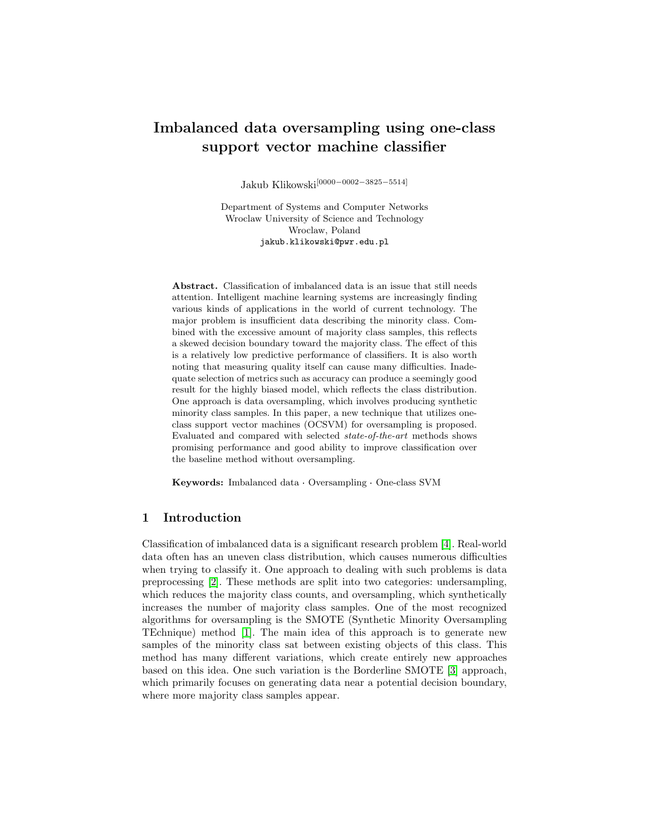# Imbalanced data oversampling using one-class support vector machine classifier

Jakub Klikowski[0000−0002−3825−5514]

Department of Systems and Computer Networks Wroclaw University of Science and Technology Wroclaw, Poland jakub.klikowski@pwr.edu.pl

Abstract. Classification of imbalanced data is an issue that still needs attention. Intelligent machine learning systems are increasingly finding various kinds of applications in the world of current technology. The major problem is insufficient data describing the minority class. Combined with the excessive amount of majority class samples, this reflects a skewed decision boundary toward the majority class. The effect of this is a relatively low predictive performance of classifiers. It is also worth noting that measuring quality itself can cause many difficulties. Inadequate selection of metrics such as accuracy can produce a seemingly good result for the highly biased model, which reflects the class distribution. One approach is data oversampling, which involves producing synthetic minority class samples. In this paper, a new technique that utilizes oneclass support vector machines (OCSVM) for oversampling is proposed. Evaluated and compared with selected state-of-the-art methods shows promising performance and good ability to improve classification over the baseline method without oversampling.

Keywords: Imbalanced data · Oversampling · One-class SVM

# 1 Introduction

Classification of imbalanced data is a significant research problem [\[4\]](#page-3-0). Real-world data often has an uneven class distribution, which causes numerous difficulties when trying to classify it. One approach to dealing with such problems is data preprocessing [\[2\]](#page-3-1). These methods are split into two categories: undersampling, which reduces the majority class counts, and oversampling, which synthetically increases the number of majority class samples. One of the most recognized algorithms for oversampling is the SMOTE (Synthetic Minority Oversampling TEchnique) method [\[1\]](#page-3-2). The main idea of this approach is to generate new samples of the minority class sat between existing objects of this class. This method has many different variations, which create entirely new approaches based on this idea. One such variation is the Borderline SMOTE [\[3\]](#page-3-3) approach, which primarily focuses on generating data near a potential decision boundary, where more majority class samples appear.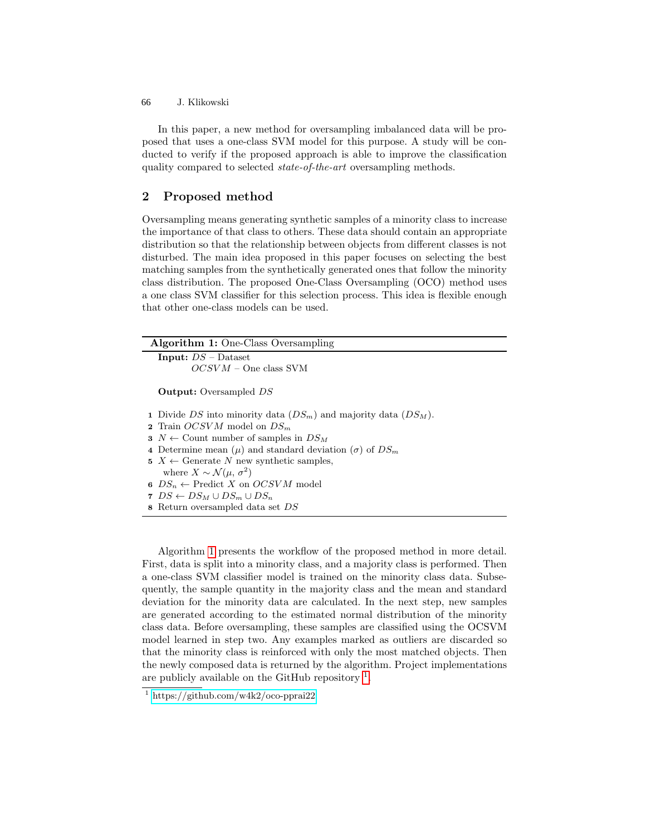J. Klikowski 66

In this paper, a new method for oversampling imbalanced data will be proposed that uses a one-class SVM model for this purpose. A study will be conducted to verify if the proposed approach is able to improve the classification quality compared to selected state-of-the-art oversampling methods.

# 2 Proposed method

Oversampling means generating synthetic samples of a minority class to increase the importance of that class to others. These data should contain an appropriate distribution so that the relationship between objects from different classes is not disturbed. The main idea proposed in this paper focuses on selecting the best matching samples from the synthetically generated ones that follow the minority class distribution. The proposed One-Class Oversampling (OCO) method uses a one class SVM classifier for this selection process. This idea is flexible enough that other one-class models can be used.

```
Algorithm 1: One-Class Oversampling
```

```
Input: DS – Dataset
OCSVM – One class SVM
```
Output: Oversampled DS

- 1 Divide DS into minority data  $(DS_m)$  and majority data  $(DS_M)$ .
- 2 Train  $OCSVM$  model on  $DS_m$
- 3  $N \leftarrow$  Count number of samples in  $DS_M$
- 4 Determine mean  $(\mu)$  and standard deviation  $(\sigma)$  of  $DS_m$
- 5  $X \leftarrow$  Generate N new synthetic samples,
- where  $X \sim \mathcal{N}(\mu, \sigma^2)$
- 6  $DS_n \leftarrow \text{Predict } X \text{ on } OCSVM \text{ model}$ 7  $DS \leftarrow DS_M \cup DS_m \cup DS_n$
- 
- <span id="page-1-0"></span>8 Return oversampled data set DS

Algorithm [1](#page-1-0) presents the workflow of the proposed method in more detail. First, data is split into a minority class, and a majority class is performed. Then a one-class SVM classifier model is trained on the minority class data. Subsequently, the sample quantity in the majority class and the mean and standard deviation for the minority data are calculated. In the next step, new samples are generated according to the estimated normal distribution of the minority class data. Before oversampling, these samples are classified using the OCSVM model learned in step two. Any examples marked as outliers are discarded so that the minority class is reinforced with only the most matched objects. Then the newly composed data is returned by the algorithm. Project implementations are publicly available on the GitHub repository  $<sup>1</sup>$  $<sup>1</sup>$  $<sup>1</sup>$ .</sup>

<span id="page-1-1"></span><sup>1</sup> <https://github.com/w4k2/oco-pprai22>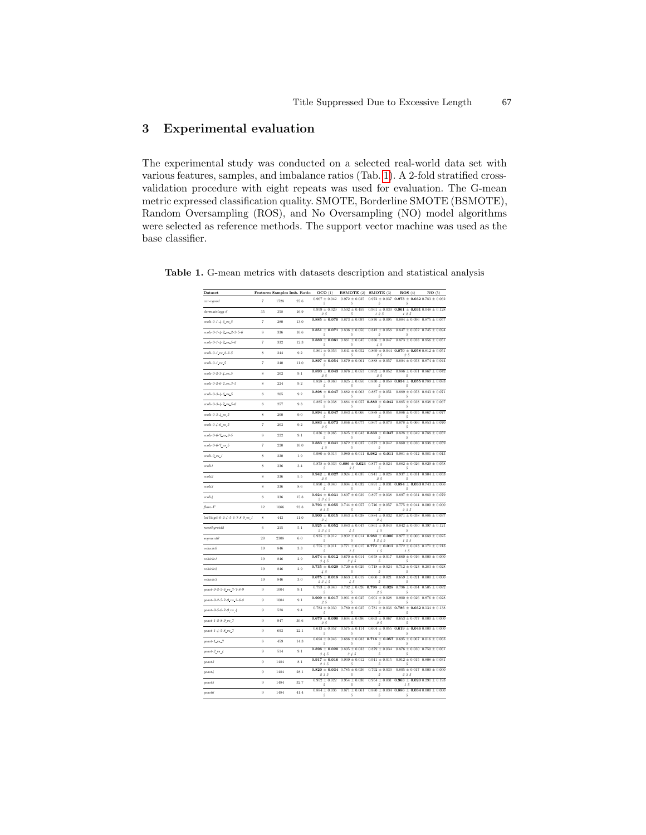# 3 Experimental evaluation

The experimental study was conducted on a selected real-world data set with various features, samples, and imbalance ratios (Tab. [1\)](#page-2-0). A 2-fold stratified crossvalidation procedure with eight repeats was used for evaluation. The G-mean metric expressed classification quality. SMOTE, Borderline SMOTE (BSMOTE), Random Oversampling (ROS), and No Oversampling (NO) model algorithms were selected as reference methods. The support vector machine was used as the base classifier.

<span id="page-2-0"></span>

| Dataset                                             |                    |      | Features Samples Imb. Ratio | OCO(1)                                      | <b>BSMOTE</b> (2)                                           | SMOTE (3)                        | ROS(4)                                                     | NO(5)                         |
|-----------------------------------------------------|--------------------|------|-----------------------------|---------------------------------------------|-------------------------------------------------------------|----------------------------------|------------------------------------------------------------|-------------------------------|
| car-vqood                                           | $\overline{7}$     | 1728 | 25.6                        | $0.967 \pm 0.042$<br>5                      | $0.972 \pm 0.035$<br>5                                      | $0.972 \pm 0.037$<br>5           | $0.973 \pm 0.032$ 0.783 $\pm$ 0.062<br>5                   |                               |
| $dermatology-6$                                     | 35                 | 358  | 16.9                        | $0.959 \pm 0.029$<br>25                     | $0.592 \pm 0.459$<br>5                                      | $0.961 \pm 0.030$<br>125         | $0.961 \pm 0.031$ $0.048 \pm 0.128$<br>125                 |                               |
| ecoli-0-1-4-6 vs.5                                  | $\overline{7}$     | 280  | 13.0                        | $0.885 \pm 0.070$ $0.873 \pm 0.097$         |                                                             | $0.876 \pm 0.095$                | $0.884 \pm 0.096$ $0.875 \pm 0.057$                        |                               |
| $ecoli-0-1-4-7$ vs. $2-3-5-6$                       | 8                  | 336  | 10.6                        | $0.851 \pm 0.071$<br>5                      | $0.836 \pm 0.050$<br>5                                      | $0.842 \pm$<br>0.058<br>5        | 0.847<br>5                                                 | $\pm$ 0.052 0.745 $\pm$ 0.094 |
| ecoli-0-1-4-7 vs.5-6                                | $\overline{7}$     | 332  | 12.3                        | $0.889 + 0.061$<br>5                        | $0.881 + 0.045$<br>5                                        | $0.886 + 0.047$<br>45            | $0.873 + 0.038$                                            | $0.856 + 0.051$               |
| $ecoli-0-1$ _vs_2-3-5                               | $\bf{8}$           | 944  | 9.2                         | $0.861 \pm 0.053$<br>5                      | $0.841 \pm 0.052$<br>5                                      | $0.869 \pm 0.044$<br>25          | $0.870 \pm 0.058$ 0.812 $\pm$ 0.051<br>25                  |                               |
| $ecoli-0-1$ _vs_5                                   | $\overline{7}$     | 240  | 11.0                        | $0.897 \pm 0.054$ 0.879 $\pm$ 0.061<br>5    |                                                             | $0.888 \pm 0.057$                | $0.894 \pm 0.053$ $0.874 \pm 0.044$                        |                               |
| $ecoli-0-2-3-4$ -us-5                               | $\bf 8$            | 202  | 9.1                         | $0.893 \pm 0.043$ $0.876 \pm 0.053$<br>25   |                                                             | $0.892 \pm 0.052$<br>25          | $0.886 \pm 0.051$ $0.867 \pm 0.042$<br>5                   |                               |
| $ecoli-0-2-6-7$ .xs.3-5                             | 8                  | 224  | 9.2                         | $0.828 \pm 0.063$<br>5                      | $0.825 \pm 0.050$<br>5                                      | $0.830 \pm 0.058$<br>5           | $0.834 \pm 0.055$ 0.789 $\pm$ 0.083<br>5                   |                               |
| $ecoli-0-3-4-6$ avs $-5$                            | $\dot{\mathbf{8}}$ | 205  | 92                          | $0.898 \pm 0.047$<br>5                      | $0.882 \pm 0.063$<br>5                                      | $0.887 \pm 0.051$<br>5           | $0.889 \pm 0.053$ $0.843 \pm 0.071$<br>5                   |                               |
| $ecoli-0-3-4-7$ avs $-5-6$                          | 8                  | 257  | 9.3                         | $0.885 \pm 0.038$<br>5                      | $0.884 \pm 0.057$<br>5                                      | $0.889 +$<br>0.042<br>5          | $0.885 \pm 0.038$<br>5                                     | $0.838 \pm 0.067$             |
| $ecoli-0-3-4$ <sub>=</sub> $vs_-5$                  | $\bf 8$            | 200  | 9.0                         | $0.894 \pm 0.047$<br>$\overline{5}$         | $0.883 \pm 0.066$                                           | $0.888 +$<br>0.056<br>5          | $0.886 +$<br>0.055<br>5                                    | 0.867<br>± 0.077              |
| $ecoli - 0 - 4 - 6 = vs. 5$                         | $\overline{7}$     | 203  | 9.2                         | $0.883 \pm 0.073$<br>25                     | $0.866 \pm 0.077$                                           | $0.867 \pm 0.070$                | $0.878 \pm 0.066$<br>5                                     | $0.853 \pm 0.070$             |
| $ecoli-0-6-7$ _vs_3-5                               | $\bf{8}$           | 999  | 91                          | $0.836\,\pm\,0.065$<br>5                    | $0.825 \pm 0.043$<br>5                                      | $0.839 \pm 0.047$<br>5           | $0.828 \pm 0.049$ $0.788 \pm 0.052$<br>5                   |                               |
| ecoli-0-6-7_vs_5                                    | $\overline{7}$     | 220  | 10.0                        | $0.883 \pm 0.041$<br>45                     | $0.872 \pm 0.037$<br>5                                      | $0.872 \pm 0.042$<br>5           | $0.860 \pm 0.036$ $0.838 \pm 0.059$                        |                               |
| ecoli-0 vs. 1                                       | 8                  | 220  | 19                          | $0.980 \pm 0.013$                           | $0.980 \pm 0.011$                                           | $0.982 \pm 0.011$                | $0.981 \pm 0.012$ $0.981 \pm 0.013$                        |                               |
| ecoli1                                              | $\bf 8$            | 336  | 3.4                         | 5                                           | $0.878 \pm 0.033$ 0.886 $\pm$ 0.023 0.877 $\pm$ 0.024<br>35 | 5                                | $0.882 \pm 0.026$ $0.829 \pm 0.058$<br>5                   |                               |
| ecoli2                                              | $\bf 8$            | 336  | 5.5                         | $0.942 \pm 0.027$<br>25                     | $0.924 \pm 0.035$                                           | $0.941 \pm 0.026$<br>25          | $0.937 \pm 0.031$ $0.904 \pm 0.053$<br>5                   |                               |
| ecoli3                                              | $\bf 8$            | 336  | 8.6                         | $0.890 + 0.040$<br>5                        | $0.894 + 0.032$<br>5                                        | $0.891 + 0.031$<br>5             | $0.894 + 0.033 + 743 + 0.066$<br>s                         |                               |
| ecoli4                                              | $\bf 8$            | 336  | 15.8                        | $0.924 \pm 0.031$<br>2345                   | $0.897 \pm 0.039$                                           | $0.897 \pm 0.038$                | $0.897 \pm 0.034$ $0.880 \pm 0.079$                        |                               |
| flare-F                                             | 12                 | 1066 | 23.8                        | $0.793 \pm 0.055$<br>235                    | $0.744 \pm 0.057$<br>5                                      | $0.746 \pm 0.057$<br>5           | $0.775 \pm 0.044$ $0.000 \pm 0.000$<br>235                 |                               |
| led7digit-0-2-4-5-6-7-8-9_vs_1                      | $\bf 8$            | 443  | 11.0                        | $0.900 \pm 0.015$ $0.863 \pm 0.038$<br>24   |                                                             | $0.884 \pm 0.032$<br>24          | $0.871 \pm 0.038$ $0.886 \pm 0.037$                        |                               |
| newthyroid2                                         | $\bf 6$            | 215  | 5.1                         | $0.925 \pm 0.052$ $0.883 \pm 0.047$<br>2345 | 45                                                          | $0.861 \pm 0.040$<br>45          | $0.842 \pm 0.050$ $0.397 \pm 0.121$<br>5                   |                               |
| segment0                                            | 20                 | 2308 | 6.0                         | $0.935 \pm 0.012$<br>5                      | $0.932 \pm 0.014$<br>5                                      | $0.980 +$<br>0.006<br>1245       | $0.977 \pm 0.006$<br>125                                   | $0.689 \pm 0.025$             |
| $v$ chicle $0$                                      | 19                 | 846  | 3.3                         | $0.755 \pm 0.011$<br>5                      | $0.771 \pm 0.015$<br>15                                     | $0.772 \pm 0.012$<br>$1\,$ $5\,$ | $0.772 \pm 0.013$ $0.171 \pm 0.213$<br>$1\mspace{3mu}5$    |                               |
| whicle1                                             | 19                 | 846  | 2.9                         | $0.674 \pm 0.012$<br>345                    | $0.670 \pm 0.014$<br>3, 4, 5                                | $0.658 \pm 0.017$<br>5           | $0.660 \pm 0.016$<br>5                                     | $0.000 \pm 0.000$             |
| $v$ chicle $2$                                      | 19                 | 846  | 2.9                         | $0.735 \pm 0.029$<br>45                     | $0.720 \pm 0.029$<br>5                                      | $0.718 \pm$<br>0.024<br>5        | $0.712 \pm$<br>0.023<br>5                                  | $0.283 \pm 0.028$             |
| whicle3                                             | 19                 | 846  | 3.0                         | $0.675 \pm 0.018$<br>2345                   | $0.663 \pm 0.019$<br>$\Lambda$ 5                            | $0.660 \pm$<br>0.021<br>5        | $0.659 \pm 0.021$<br>5                                     | $0.000 \pm 0.000$             |
| yeast-0-2-5-6_vs_3-7-8-9                            | 9                  | 1004 | 9.1                         | $0.793 \pm 0.043$<br>5                      | $0.792 \pm 0.026$<br>5                                      | $0.798 \pm 0.028$<br>$\it 2\,5$  | $0.796 \pm 0.034$ $0.505 \pm 0.082$<br>5                   |                               |
| yeast-0-2-5-7-9 vs 3-6-8                            | 9                  | 1004 | 9.1                         | $0.909 \pm 0.017$<br>25                     | $0.901 \pm 0.025$<br>5                                      | $0.901 \pm 0.028$<br>5           | $0.900 \pm 0.026$ $0.876 \pm 0.028$<br>5                   |                               |
| $yeast-0-5-6-7-9$ <sub>a</sub> $vs_4$               | 9                  | 528  | 9.4                         | $0.783 \pm 0.030$<br>5                      | $0.780 \pm 0.035$<br>5                                      | $0.781 \pm 0.036$<br>5           | $0.786 \pm 0.032$ 0.134 $\pm$ 0.138<br>5                   |                               |
| $weak-1-2-8-9$ _vs. 7                               | $9\,$              | 947  | 30.6                        | $0.679 \pm 0.090$ $0.604 \pm 0.096$<br>25   | 5                                                           | $0.663 \pm 0.067$<br>25          | $0.653 \pm 0.077$ $0.000 \pm 0.000$<br>5                   |                               |
| $years1 - 4 - 5 - 8$ <sub>u</sub> vs <sub>n</sub> 7 | 9                  | 693  | 22.1                        | $0.613 \pm 0.057$<br>5                      | $0.575 \pm 0.114$<br>5                                      | $0.604 \pm 0.055$<br>5           | $0.619 \pm 0.046 0.000 \pm 0.000$<br>5                     |                               |
| $weak-I$ .vs. $7$                                   | $\bf 8$            | 459  | 14.3                        | $0.698 \pm 0.046$<br>5                      | $0.686 \pm 0.083$<br>5                                      | $0.716 \pm 0.057$<br>5           | $0.695 \pm 0.067$ $0.016 \pm 0.063$<br>5                   |                               |
| $yeast-2$ -vs-4                                     | $9\,$              | 514  | 9.1                         | $0.896 \pm 0.020$<br>345                    | $0.895 \pm 0.033$<br>$3\nmid 5$                             | $0.879 \pm 0.034$<br>5           | $0.876 \pm 0.030$ $0.750 \pm 0.061$<br>5                   |                               |
| yeast3                                              | $9\,$              | 1484 | 8.1                         | $0.917 \pm 0.016$<br>235                    | $0.909 \pm 0.012$<br>5                                      | $0.911 \pm$<br>0.015<br>5        | $0.912 \pm 0.015$ $0.808 \pm 0.031$<br>5                   |                               |
| yeast4                                              | $9\,$              | 1484 | 28.1                        | $0.820 \pm 0.034$ 0.785 $\pm$ 0.036<br>235  | 5                                                           | $0.792 \pm 0.030$<br>5           | $0.805 \pm 0.017$ $0.000 \pm 0.000$<br>9.3.5               |                               |
| yeast5                                              | $9\,$              | 1484 | 32.7                        | $0.952 \pm 0.022$<br>5                      | $0.954 \pm 0.030$<br>5                                      | $0.954 \pm 0.031$<br>5           | $0.963 \pm 0.020$ 0.291 $\pm$ 0.193<br>15                  |                               |
| yeast6                                              | $9\,$              | 1484 | 41.4                        | $0.884 \pm 0.036$<br>5                      | $0.871 \pm 0.061$<br>5                                      | 5                                | $0.880 \pm 0.034$ 0.886 $\pm$ 0.034 0.000 $\pm$ 0.000<br>5 |                               |

Table 1. G-mean metrics with datasets description and statistical analysis